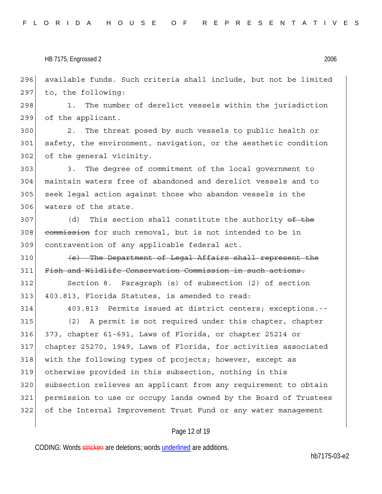| 312 | Section 8. Paragraph (s) of subsection (2) of section            |
|-----|------------------------------------------------------------------|
| 313 | 403.813, Florida Statutes, is amended to read:                   |
| 314 | 403.813 Permits issued at district centers; exceptions.--        |
| 315 | (2) A permit is not required under this chapter, chapter         |
| 316 | 373, chapter 61-691, Laws of Florida, or chapter 25214 or        |
| 317 | chapter 25270, 1949, Laws of Florida, for activities associated  |
| 318 | with the following types of projects; however, except as         |
| 319 | otherwise provided in this subsection, nothing in this           |
| 320 | subsection relieves an applicant from any requirement to obtain  |
| 321 | permission to use or occupy lands owned by the Board of Trustees |
| 322 | of the Internal Improvement Trust Fund or any water management   |
|     |                                                                  |

## Page 12 of 19

CODING: Words stricken are deletions; words underlined are additions.

hb7175-03-e2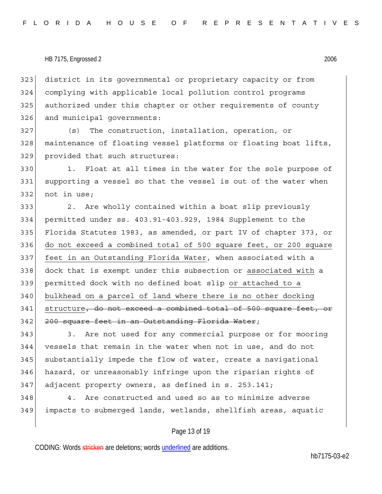323 district in its governmental or proprietary capacity or from 324 complying with applicable local pollution control programs 325 authorized under this chapter or other requirements of county 326 and municipal governments:

327 (s) The construction, installation, operation, or 328 maintenance of floating vessel platforms or floating boat lifts, 329 provided that such structures:

330 1. Float at all times in the water for the sole purpose of 331 supporting a vessel so that the vessel is out of the water when 332 not in use:

333 2. Are wholly contained within a boat slip previously 334 permitted under ss. 403.91-403.929, 1984 Supplement to the 335 Florida Statutes 1983, as amended, or part IV of chapter 373, or 336 do not exceed a combined total of 500 square feet, or 200 square 337 feet in an Outstanding Florida Water, when associated with a 338 dock that is exempt under this subsection or associated with a 339 permitted dock with no defined boat slip or attached to a 340 bulkhead on a parcel of land where there is no other docking 341 structure, do not exceed a combined total of 500 square feet, or 342 200 square feet in an Outstanding Florida Water;

343 343. Are not used for any commercial purpose or for mooring 344 vessels that remain in the water when not in use, and do not 345 substantially impede the flow of water, create a navigational 346 hazard, or unreasonably infringe upon the riparian rights of  $347$  adjacent property owners, as defined in s. 253.141;

348 4. Are constructed and used so as to minimize adverse 349 impacts to submerged lands, wetlands, shellfish areas, aquatic

## Page 13 of 19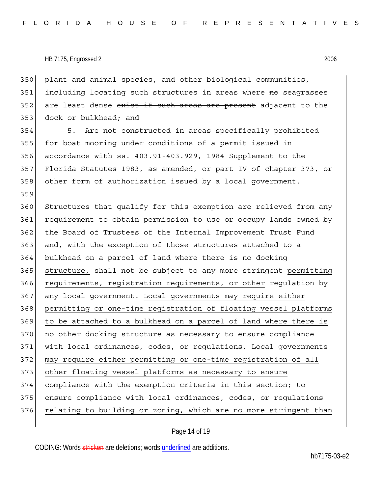350 plant and animal species, and other biological communities, 351 including locating such structures in areas where no seagrasses 352| are least dense <del>exist if such areas are present</del> adjacent to the 353 dock or bulkhead; and

354 5. Are not constructed in areas specifically prohibited 355 for boat mooring under conditions of a permit issued in 356 accordance with ss. 403.91-403.929, 1984 Supplement to the 357 Florida Statutes 1983, as amended, or part IV of chapter 373, or 358 other form of authorization issued by a local government. 359

360 Structures that qualify for this exemption are relieved from any 361 requirement to obtain permission to use or occupy lands owned by 362 the Board of Trustees of the Internal Improvement Trust Fund 363 and, with the exception of those structures attached to a 364 bulkhead on a parcel of land where there is no docking 365 structure, shall not be subject to any more stringent permitting 366 requirements, registration requirements, or other regulation by 367 any local government. Local governments may require either 368 permitting or one-time registration of floating vessel platforms 369 to be attached to a bulkhead on a parcel of land where there is 370 no other docking structure as necessary to ensure compliance 371 with local ordinances, codes, or regulations. Local governments 372 may require either permitting or one-time registration of all 373 other floating vessel platforms as necessary to ensure 374 compliance with the exemption criteria in this section; to 375 ensure compliance with local ordinances, codes, or regulations 376 relating to building or zoning, which are no more stringent than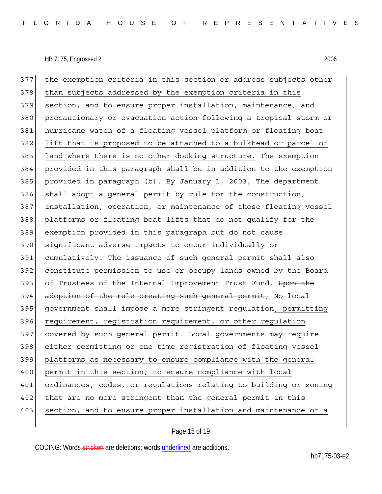377 the exemption criteria in this section or address subjects other 378 than subjects addressed by the exemption criteria in this 379 section; and to ensure proper installation, maintenance, and 380 precautionary or evacuation action following a tropical storm or 381 hurricane watch of a floating vessel platform or floating boat 382 lift that is proposed to be attached to a bulkhead or parcel of 383 land where there is no other docking structure. The exemption 384 provided in this paragraph shall be in addition to the exemption 385 provided in paragraph (b). By January 1, 2003, The department 386 shall adopt a general permit by rule for the construction, 387 installation, operation, or maintenance of those floating vessel 388 platforms or floating boat lifts that do not qualify for the 389 exemption provided in this paragraph but do not cause 390 significant adverse impacts to occur individually or 391 cumulatively. The issuance of such general permit shall also 392 constitute permission to use or occupy lands owned by the Board 393 of Trustees of the Internal Improvement Trust Fund. Upon the 394 adoption of the rule creating such general permit, No local 395 government shall impose a more stringent regulation, permitting 396 requirement, registration requirement, or other regulation 397 covered by such general permit. Local governments may require 398 either permitting or one-time registration of floating vessel 399 platforms as necessary to ensure compliance with the general 400 permit in this section; to ensure compliance with local 401 ordinances, codes, or regulations relating to building or zoning 402 that are no more stringent than the general permit in this 403 section; and to ensure proper installation and maintenance of a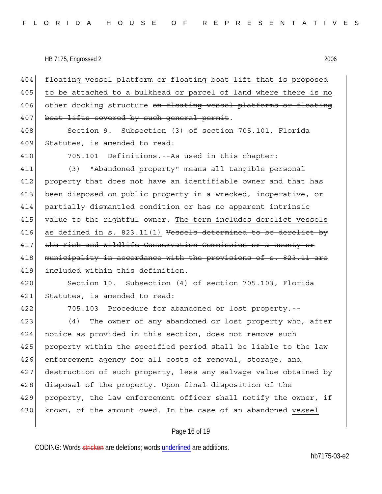404 floating vessel platform or floating boat lift that is proposed 405 to be attached to a bulkhead or parcel of land where there is no 406 other docking structure <del>on floating vessel platforms or floating</del> 407 boat lifts covered by such general permit.

408 Section 9. Subsection (3) of section 705.101, Florida 409 Statutes, is amended to read:

410 705.101 Definitions.--As used in this chapter:

411 (3) "Abandoned property" means all tangible personal 412 property that does not have an identifiable owner and that has 413 been disposed on public property in a wrecked, inoperative, or 414 partially dismantled condition or has no apparent intrinsic 415 value to the rightful owner. The term includes derelict vessels 416 as defined in s. 823.11(1) Vessels determined to be derelict by 417 the Fish and Wildlife Conservation Commission or a county or 418 municipality in accordance with the provisions of s. 823.11 are 419 included within this definition.

420 Section 10. Subsection (4) of section 705.103, Florida 421 Statutes, is amended to read:

422 705.103 Procedure for abandoned or lost property.--

423 (4) The owner of any abandoned or lost property who, after 424 notice as provided in this section, does not remove such 425 property within the specified period shall be liable to the law 426 enforcement agency for all costs of removal, storage, and 427 destruction of such property, less any salvage value obtained by 428 disposal of the property. Upon final disposition of the 429 property, the law enforcement officer shall notify the owner, if 430 known, of the amount owed. In the case of an abandoned vessel

### Page 16 of 19

CODING: Words stricken are deletions; words underlined are additions.

hb7175-03-e2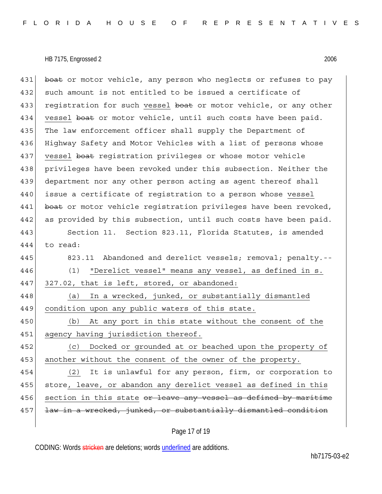431 boat or motor vehicle, any person who neglects or refuses to pay 432 such amount is not entitled to be issued a certificate of 433 registration for such vessel boat or motor vehicle, or any other 434 vessel boat or motor vehicle, until such costs have been paid. 435 The law enforcement officer shall supply the Department of 436 Highway Safety and Motor Vehicles with a list of persons whose 437 vessel boat registration privileges or whose motor vehicle 438 privileges have been revoked under this subsection. Neither the 439 department nor any other person acting as agent thereof shall 440 issue a certificate of registration to a person whose vessel 441 boat or motor vehicle registration privileges have been revoked, 442 as provided by this subsection, until such costs have been paid.

443 Section 11. Section 823.11, Florida Statutes, is amended 444 to read:

445 823.11 Abandoned and derelict vessels; removal; penalty.--446 (1) "Derelict vessel" means any vessel, as defined in s. 447 327.02, that is left, stored, or abandoned: 448 (a) In a wrecked, junked, or substantially dismantled 449 condition upon any public waters of this state. 450 (b) At any port in this state without the consent of the 451 agency having jurisdiction thereof. 452 (c) Docked or grounded at or beached upon the property of 453 another without the consent of the owner of the property. 454 (2) It is unlawful for any person, firm, or corporation to 455 store, leave, or abandon any derelict vessel as defined in this 456 section in this state or leave any vessel as defined by maritime

457 <del>law in a wrecked, junked, or substantially dismantled condition</del>

## Page 17 of 19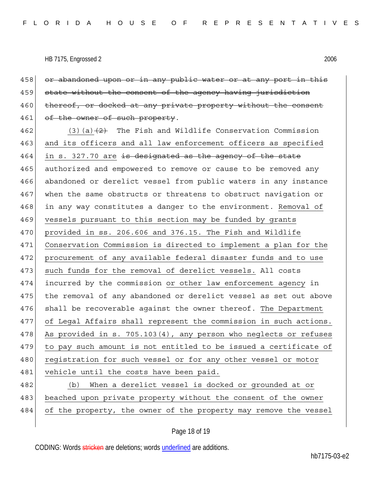458 or abandoned upon or in any public water or at any port in this 459 state without the consent of the agency having jurisdiction 460 thereof, or docked at any private property without the consent 461 of the owner of such property. 462 (3)(a) $\left(2\right)$  The Fish and Wildlife Conservation Commission 463 and its officers and all law enforcement officers as specified  $464$  in s. 327.70 are is designated as the agency of the state 465 authorized and empowered to remove or cause to be removed any 466 abandoned or derelict vessel from public waters in any instance 467 when the same obstructs or threatens to obstruct navigation or 468 in any way constitutes a danger to the environment. Removal of 469 vessels pursuant to this section may be funded by grants 470 provided in ss. 206.606 and 376.15. The Fish and Wildlife 471 Conservation Commission is directed to implement a plan for the 472 procurement of any available federal disaster funds and to use 473 such funds for the removal of derelict vessels. All costs 474 incurred by the commission or other law enforcement agency in 475 the removal of any abandoned or derelict vessel as set out above 476 shall be recoverable against the owner thereof. The Department 477 of Legal Affairs shall represent the commission in such actions. 478 As provided in s. 705.103(4), any person who neglects or refuses 479 to pay such amount is not entitled to be issued a certificate of 480 registration for such vessel or for any other vessel or motor 481 vehicle until the costs have been paid. 482 (b) When a derelict vessel is docked or grounded at or 483 beached upon private property without the consent of the owner 484 of the property, the owner of the property may remove the vessel

Page 18 of 19